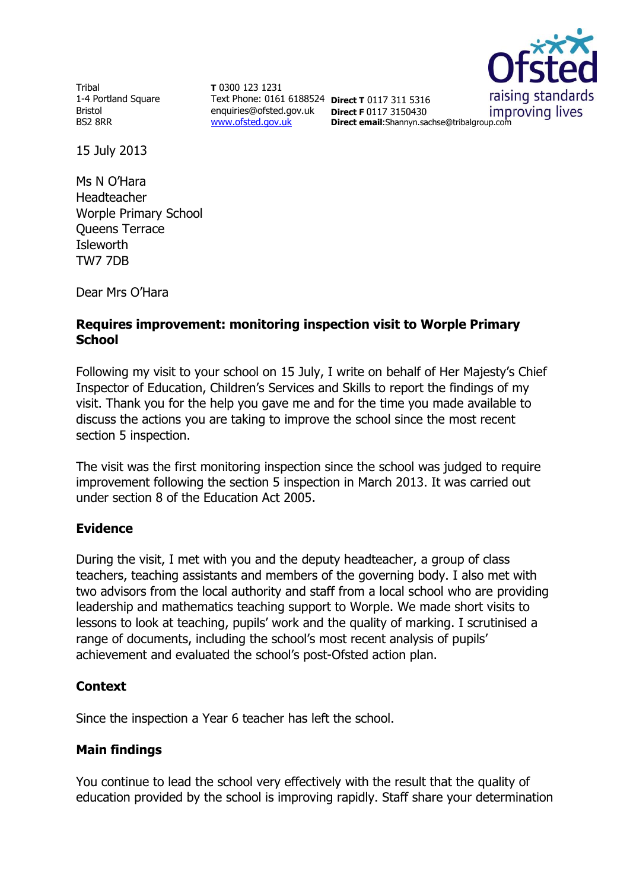Tribal 1-4 Portland Square Bristol BS2 8RR

**T** 0300 123 1231 Text Phone: 0161 6188524 **Direct T** 0117 311 5316 enquiries@ofsted.gov.uk **Direct F** 0117 3150430 [www.ofsted.gov.uk](http://www.ofsted.gov.uk/)

raising standards improving lives

**Direct email**:Shannyn.sachse@tribalgroup.com

15 July 2013

Ms N O'Hara Headteacher Worple Primary School Queens Terrace **Isleworth** TW7 7DB

Dear Mrs O'Hara

# **Requires improvement: monitoring inspection visit to Worple Primary School**

Following my visit to your school on 15 July, I write on behalf of Her Majesty's Chief Inspector of Education, Children's Services and Skills to report the findings of my visit. Thank you for the help you gave me and for the time you made available to discuss the actions you are taking to improve the school since the most recent section 5 inspection.

The visit was the first monitoring inspection since the school was judged to require improvement following the section 5 inspection in March 2013. It was carried out under section 8 of the Education Act 2005.

## **Evidence**

During the visit, I met with you and the deputy headteacher, a group of class teachers, teaching assistants and members of the governing body. I also met with two advisors from the local authority and staff from a local school who are providing leadership and mathematics teaching support to Worple. We made short visits to lessons to look at teaching, pupils' work and the quality of marking. I scrutinised a range of documents, including the school's most recent analysis of pupils' achievement and evaluated the school's post-Ofsted action plan.

## **Context**

Since the inspection a Year 6 teacher has left the school.

## **Main findings**

You continue to lead the school very effectively with the result that the quality of education provided by the school is improving rapidly. Staff share your determination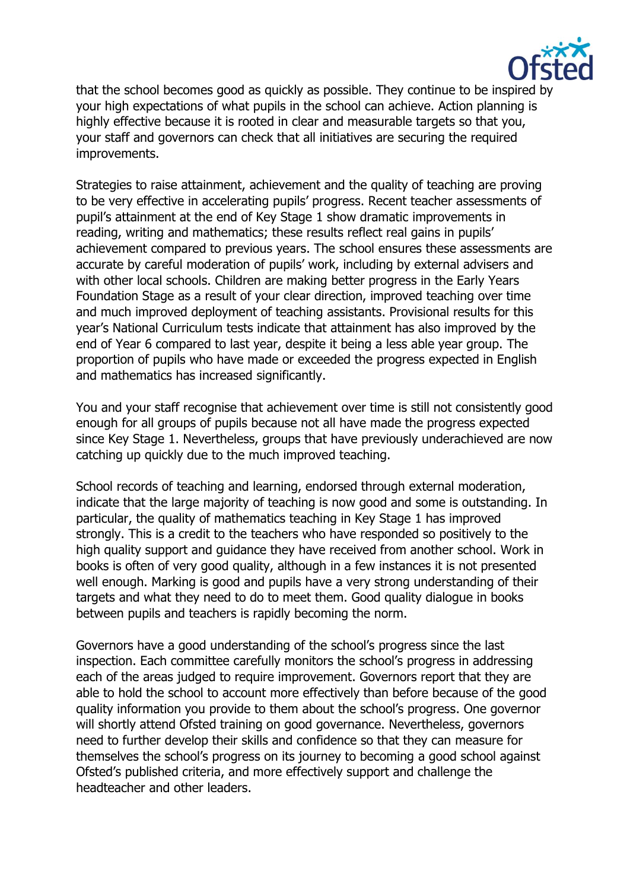

that the school becomes good as quickly as possible. They continue to be inspired by your high expectations of what pupils in the school can achieve. Action planning is highly effective because it is rooted in clear and measurable targets so that you, your staff and governors can check that all initiatives are securing the required improvements.

Strategies to raise attainment, achievement and the quality of teaching are proving to be very effective in accelerating pupils' progress. Recent teacher assessments of pupil's attainment at the end of Key Stage 1 show dramatic improvements in reading, writing and mathematics; these results reflect real gains in pupils' achievement compared to previous years. The school ensures these assessments are accurate by careful moderation of pupils' work, including by external advisers and with other local schools. Children are making better progress in the Early Years Foundation Stage as a result of your clear direction, improved teaching over time and much improved deployment of teaching assistants. Provisional results for this year's National Curriculum tests indicate that attainment has also improved by the end of Year 6 compared to last year, despite it being a less able year group. The proportion of pupils who have made or exceeded the progress expected in English and mathematics has increased significantly.

You and your staff recognise that achievement over time is still not consistently good enough for all groups of pupils because not all have made the progress expected since Key Stage 1. Nevertheless, groups that have previously underachieved are now catching up quickly due to the much improved teaching.

School records of teaching and learning, endorsed through external moderation, indicate that the large majority of teaching is now good and some is outstanding. In particular, the quality of mathematics teaching in Key Stage 1 has improved strongly. This is a credit to the teachers who have responded so positively to the high quality support and guidance they have received from another school. Work in books is often of very good quality, although in a few instances it is not presented well enough. Marking is good and pupils have a very strong understanding of their targets and what they need to do to meet them. Good quality dialogue in books between pupils and teachers is rapidly becoming the norm.

Governors have a good understanding of the school's progress since the last inspection. Each committee carefully monitors the school's progress in addressing each of the areas judged to require improvement. Governors report that they are able to hold the school to account more effectively than before because of the good quality information you provide to them about the school's progress. One governor will shortly attend Ofsted training on good governance. Nevertheless, governors need to further develop their skills and confidence so that they can measure for themselves the school's progress on its journey to becoming a good school against Ofsted's published criteria, and more effectively support and challenge the headteacher and other leaders.